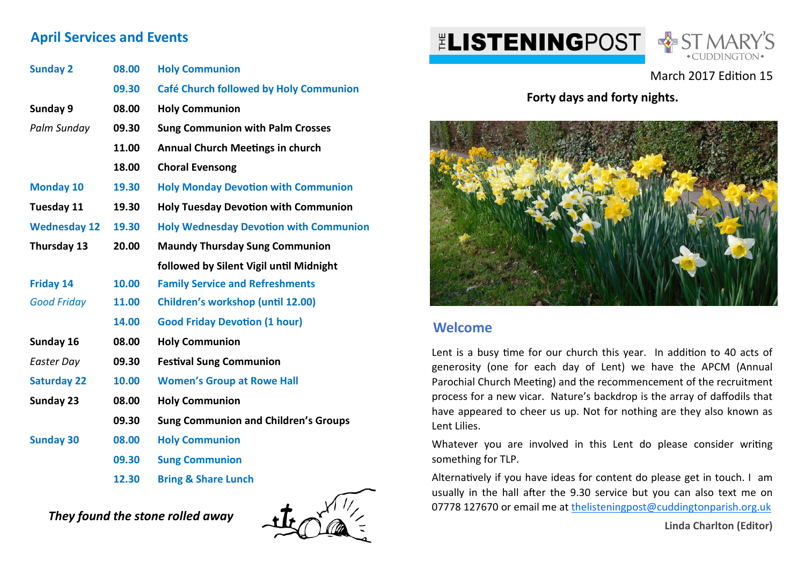## **April Services and Events**

| <b>Sunday 2</b>     | 08.00 | <b>Holy Communion</b>                         |
|---------------------|-------|-----------------------------------------------|
|                     | 09.30 | Café Church followed by Holy Communion        |
| Sunday 9            | 08.00 | <b>Holy Communion</b>                         |
| Palm Sunday         | 09.30 | <b>Sung Communion with Palm Crosses</b>       |
|                     | 11.00 | <b>Annual Church Meetings in church</b>       |
|                     | 18.00 | <b>Choral Evensong</b>                        |
| <b>Monday 10</b>    | 19.30 | <b>Holy Monday Devotion with Communion</b>    |
| Tuesday 11          | 19.30 | <b>Holy Tuesday Devotion with Communion</b>   |
| <b>Wednesday 12</b> | 19.30 | <b>Holy Wednesday Devotion with Communion</b> |
| Thursday 13         | 20.00 | <b>Maundy Thursday Sung Communion</b>         |
|                     |       | followed by Silent Vigil until Midnight       |
| <b>Friday 14</b>    | 10.00 | <b>Family Service and Refreshments</b>        |
| <b>Good Friday</b>  | 11.00 | <b>Children's workshop (until 12.00)</b>      |
|                     | 14.00 | <b>Good Friday Devotion (1 hour)</b>          |
| Sunday 16           | 08.00 | <b>Holy Communion</b>                         |
| Easter Day          | 09.30 | <b>Festival Sung Communion</b>                |
| <b>Saturday 22</b>  | 10.00 | <b>Women's Group at Rowe Hall</b>             |
| Sunday 23           | 08.00 | <b>Holy Communion</b>                         |
|                     | 09.30 | <b>Sung Communion and Children's Groups</b>   |
| <b>Sunday 30</b>    | 08.00 | <b>Holy Communion</b>                         |
|                     | 09.30 | <b>Sung Communion</b>                         |
|                     | 12.30 | <b>Bring &amp; Share Lunch</b>                |

*They found the stone rolled away* 



# **ELISTENINGPOST & ST MARY'S**



### March 2017 Edition 15

**Forty days and forty nights.**



#### **Welcome**

Lent is a busy time for our church this year. In addition to 40 acts of generosity (one for each day of Lent) we have the APCM (Annual Parochial Church Meeting) and the recommencement of the recruitment process for a new vicar. Nature's backdrop is the array of daffodils that have appeared to cheer us up. Not for nothing are they also known as Lent Lilies.

Whatever you are involved in this Lent do please consider writing something for TLP.

Alternatively if you have ideas for content do please get in touch. I am usually in the hall after the 9.30 service but you can also text me on 07778 127670 or email me at thelisteningpost@cuddingtonparish.org.uk

**Linda Charlton (Editor)**